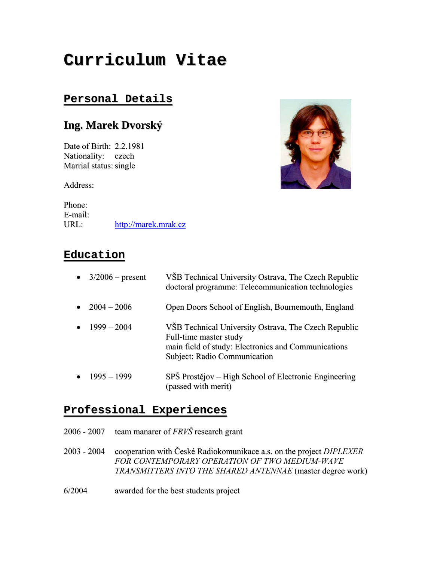# **Curriculum Vitae**

### **Personal Details**

## **Ing. Marek Dvorský**

Date of Birth: 2.2.1981 Nationality: czech Marrial status: single



Phone: E-mail: URL: [http://marek.mrak.cz](http://marek.mrak.cz/)



## **Education ducation**

| $3/2006$ – present | VŠB Technical University Ostrava, The Czech Republic<br>doctoral programme: Telecommunication technologies                                                            |
|--------------------|-----------------------------------------------------------------------------------------------------------------------------------------------------------------------|
| $2004 - 2006$      | Open Doors School of English, Bournemouth, England                                                                                                                    |
| $1999 - 2004$      | VSB Technical University Ostrava, The Czech Republic<br>Full-time master study<br>main field of study: Electronics and Communications<br>Subject: Radio Communication |
| $1995 - 1999$      | SPŠ Prostějov – High School of Electronic Engineering<br>(passed with merit)                                                                                          |

#### **Professional rofessional Experiences xperiences**

2006 - 2007 team manarer of *FRVŠ* research grant

2003 - 2004 cooperation with České Radiokomunikace a.s. on the project *DIPLEXER FOR CONTEMPORARY OPERATION OF TWO MEDIUM-WAVE TRANSMITTERS INTO THE SHARED ANTENNAE* (master degree work)

6/2004 awarded for the best students project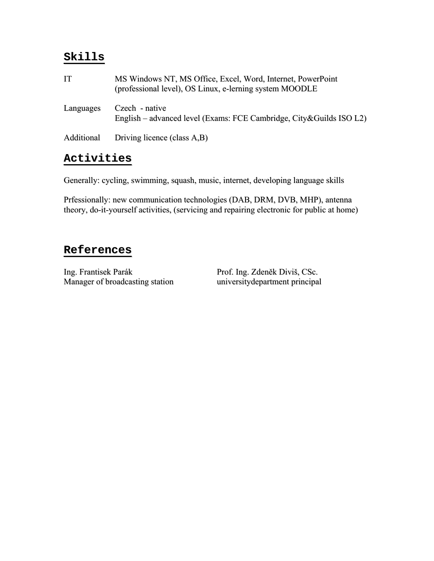#### **Skills**

| IT        | MS Windows NT, MS Office, Excel, Word, Internet, PowerPoint<br>(professional level), OS Linux, e-lerning system MOODLE |
|-----------|------------------------------------------------------------------------------------------------------------------------|
| Languages | Czech - native<br>English – advanced level (Exams: FCE Cambridge, City & Guilds ISO L2)                                |
|           | Additional Driving licence (class A,B)                                                                                 |

## **Activities**

Generally: cycling, swimming, squash, music, internet, developing language skills

Prfessionally: new communication technologies (DAB, DRM, DVB, MHP), antenna theory, do-it-yourself activities, (servicing and repairing electronic for public at home)

#### **References**

Ing. Frantisek Parák Parák Prof. Ing. Zdeněk Diviš, CSc.<br>Manager of broadcasting station university department principal Manager of broadcasting station